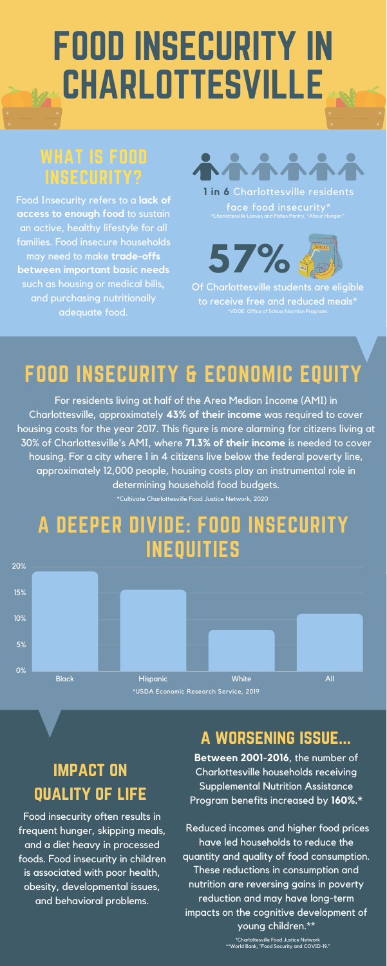# FOOD INSECURITY IN CHARLOTTESVILLE

**Between 2001-2016**, the number of Charlottesville households receiving Supplemental Nutrition Assistance Program benefits increased by **160%.\***

Reduced incomes and higher food prices have led households to reduce the quantity and quality of food consumption. These reductions in consumption and nutrition are reversing gains in poverty reduction and may have long-term impacts on the cognitive development of young children.\*\*

### FOOD INSECURITY & ECONOMIC EQUITY

For residents living at half of the Area Median Income (AMI) in Charlottesville, approximately **43% of their income** was required to cover housing costs for the year 2017. This figure is more alarming for citizens living at 30% of Charlottesville's AMI, where **71.3% of their income** is needed to cover housing. For a city where 1 in 4 citizens live below the federal poverty line, approximately 12,000 people, housing costs play an instrumental role in determining household food budgets.



### A DEEPER DIVIDE: FOOD INSECURITY INEQUITIES

Food insecurity often results in frequent hunger, skipping meals, and a diet heavy in processed foods. Food insecurity in children is associated with poor health, obesity, developmental issues, and behavioral problems.

### WHAT IS FOOD INSECURITY?

Food Insecurity refers to a **lack of access to enough food** to sustain an active, healthy lifestyle for all families. Food insecure households may need to make **trade-offs between important basic needs** such as housing or medical bills, and purchasing nutritionally adequate food.





**1 in 6** Charlottesville residents face food insecurity\*

### impact on quality of life

Of Charlottesville students are eligible to receive free and reduced meals\* \*VDOE: Office of School Nutrition Programs

#### a worsening issue...

\*Charlottesville Food Justice Network \*\*World Bank, "Food Security and COVID-19."

\*Cultivate Charlottesville Food Justice Network, 2020